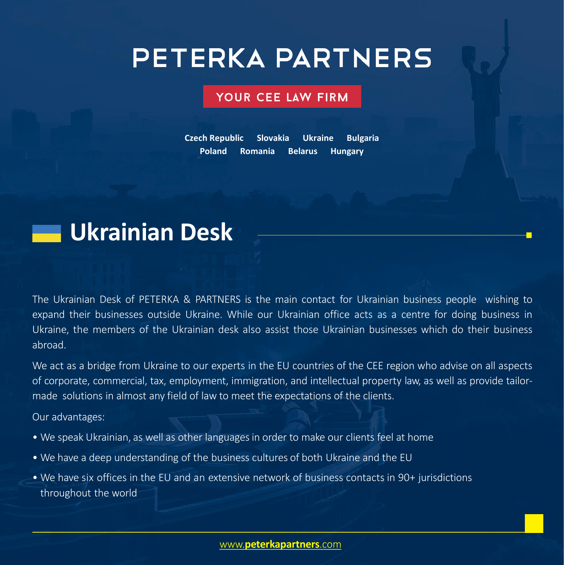# **PETERKA PARTNERS**

### YOUR CEE LAW FIRM

**Czech Republic Slovakia Ukraine Bulgaria Poland Romania Belarus Hungary**



The Ukrainian Desk of PETERKA & PARTNERS is the main contact for Ukrainian business people wishing to expand their businesses outside Ukraine. While our Ukrainian office acts as a centre for doing business in Ukraine, the members of the Ukrainian desk also assist those Ukrainian businesses which do their business abroad.

We act as a bridge from Ukraine to our experts in the EU countries of the CEE region who advise on all aspects of corporate, commercial, tax, employment, immigration, and intellectual property law, as well as provide tailormade solutions in almost any field of law to meet the expectations of the clients.

Our advantages:

- We speak Ukrainian, as well as other languages in order to make our clients feel at home
- We have a deep understanding of the business cultures of both Ukraine and the EU
- We have six offices in the EU and an extensive network of business contacts in 90+ jurisdictions throughout the world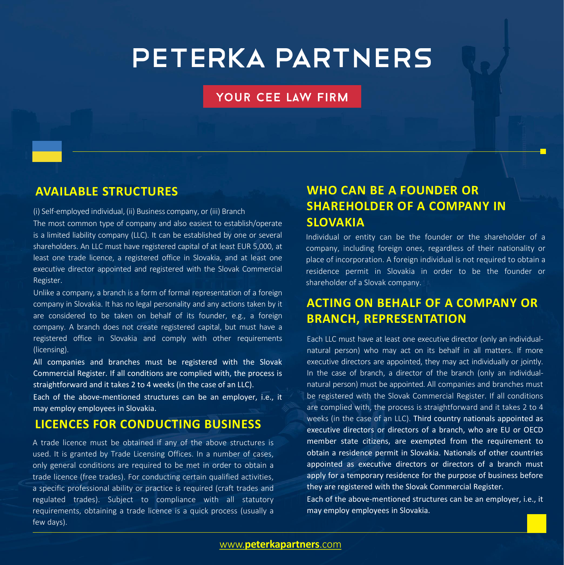## **PETERKA PARTNERS**

#### YOUR CEE LAW FIRM

### **AVAILABLE STRUCTURES**

(i) Self-employed individual, (ii) Business company, or (iii) Branch

The most common type of company and also easiest to establish/operate is a limited liability company (LLC). It can be established by one or several shareholders. An LLC must have registered capital of at least EUR 5,000, at least one trade licence, a registered office in Slovakia, and at least one executive director appointed and registered with the Slovak Commercial Register.

Unlike a company, a branch is a form of formal representation of a foreign company in Slovakia. It has no legal personality and any actions taken by it are considered to be taken on behalf of its founder, e.g., a foreign company. A branch does not create registered capital, but must have a registered office in Slovakia and comply with other requirements (licensing).

All companies and branches must be registered with the Slovak Commercial Register. If all conditions are complied with, the process is straightforward and it takes 2 to 4 weeks (in the case of an LLC).

Each of the above-mentioned structures can be an employer, i.e., it may employ employees in Slovakia.

### **LICENCES FOR CONDUCTING BUSINESS**

A trade licence must be obtained if any of the above structures is used. It is granted by Trade Licensing Offices. In a number of cases, only general conditions are required to be met in order to obtain a trade licence (free trades). For conducting certain qualified activities, a specific professional ability or practice is required (craft trades and regulated trades). Subject to compliance with all statutory requirements, obtaining a trade licence is a quick process (usually a few days).

### **WHO CAN BE A FOUNDER OR SHAREHOLDER OF A COMPANY IN SLOVAKIA**

Individual or entity can be the founder or the shareholder of a company, including foreign ones, regardless of their nationality or place of incorporation. A foreign individual is not required to obtain a residence permit in Slovakia in order to be the founder or shareholder of a Slovak company.

### **ACTING ON BEHALF OF A COMPANY OR BRANCH, REPRESENTATION**

Each LLC must have at least one executive director (only an individualnatural person) who may act on its behalf in all matters. If more executive directors are appointed, they may act individually or jointly. In the case of branch, a director of the branch (only an individualnatural person) must be appointed. All companies and branches must be registered with the Slovak Commercial Register. If all conditions are complied with, the process is straightforward and it takes 2 to 4 weeks (in the case of an LLC). Third country nationals appointed as executive directors or directors of a branch, who are EU or OECD member state citizens, are exempted from the requirement to obtain a residence permit in Slovakia. Nationals of other countries appointed as executive directors or directors of a branch must apply for a temporary residence for the purpose of business before they are registered with the Slovak Commercial Register.

Each of the above-mentioned structures can be an employer, i.e., it may employ employees in Slovakia.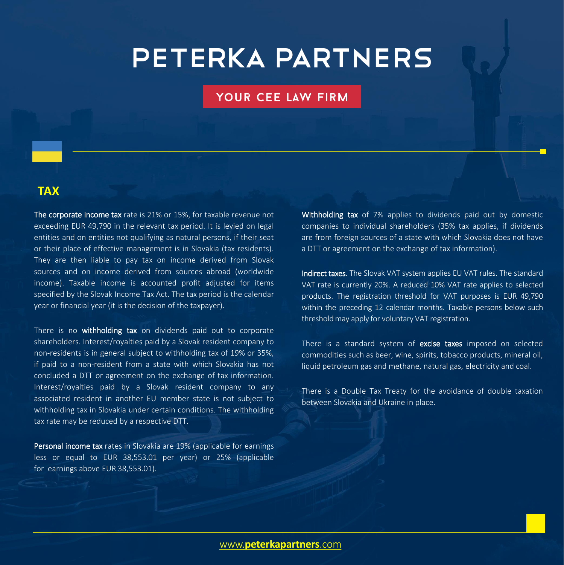### **PETERKA PARTNERS**

#### YOUR CEE LAW FIRM

#### **TAX**

The corporate income tax rate is 21% or 15%, for taxable revenue not exceeding EUR 49,790 in the relevant tax period. It is levied on legal entities and on entities not qualifying as natural persons, if their seat or their place of effective management is in Slovakia (tax residents). They are then liable to pay tax on income derived from Slovak sources and on income derived from sources abroad (worldwide income). Taxable income is accounted profit adjusted for items specified by the Slovak Income Tax Act. The tax period is the calendar year or financial year (it is the decision of the taxpayer).

There is no withholding tax on dividends paid out to corporate shareholders. Interest/royalties paid by a Slovak resident company to non-residents is in general subject to withholding tax of 19% or 35%, if paid to a non-resident from a state with which Slovakia has not concluded a DTT or agreement on the exchange of tax information. Interest/royalties paid by a Slovak resident company to any associated resident in another EU member state is not subject to withholding tax in Slovakia under certain conditions. The withholding tax rate may be reduced by a respective DTT.

Personal income tax rates in Slovakia are 19% (applicable for earnings less or equal to EUR 38,553.01 per year) or 25% (applicable for earnings above EUR 38,553.01).

Withholding tax of 7% applies to dividends paid out by domestic companies to individual shareholders (35% tax applies, if dividends are from foreign sources of a state with which Slovakia does not have a DTT or agreement on the exchange of tax information).

Indirect taxes. The Slovak VAT system applies EU VAT rules. The standard VAT rate is currently 20%. A reduced 10% VAT rate applies to selected products. The registration threshold for VAT purposes is EUR 49,790 within the preceding 12 calendar months. Taxable persons below such threshold may apply for voluntary VAT registration.

There is a standard system of excise taxes imposed on selected commodities such as beer, wine, spirits, tobacco products, mineral oil, liquid petroleum gas and methane, natural gas, electricity and coal.

There is a Double Tax Treaty for the avoidance of double taxation between Slovakia and Ukraine in place.